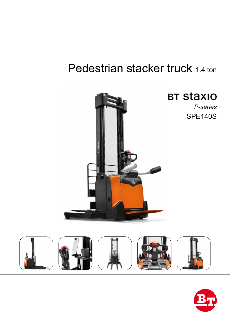# Pedestrian stacker truck 1.4 ton



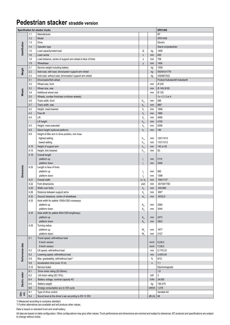### **Pedestrian stacker straddle version**

| <b>SPE140S</b><br>Specification for stacker trucks |      |                                                             |                                    |              |                                 |  |  |  |  |  |
|----------------------------------------------------|------|-------------------------------------------------------------|------------------------------------|--------------|---------------------------------|--|--|--|--|--|
|                                                    | 1.1  | Manufacturer                                                |                                    |              | <b>BT</b>                       |  |  |  |  |  |
|                                                    | 1.2  | Model                                                       |                                    |              | <b>SPE140S</b>                  |  |  |  |  |  |
|                                                    | 1.3  | Drive                                                       |                                    |              | Electric                        |  |  |  |  |  |
|                                                    | 1.4  | Operator type                                               |                                    |              | Stand on/pedestrian             |  |  |  |  |  |
| Identification                                     | 1.5  | Load capacity/rated load                                    | Q                                  | kg           | 1400                            |  |  |  |  |  |
|                                                    | 1.6  | Load centre                                                 | $\mathtt{C}$                       | mm           | 600                             |  |  |  |  |  |
|                                                    | 1.8  | Load distance, centre of support arm wheel to face of forks | X                                  | mm           | 758                             |  |  |  |  |  |
|                                                    | 1.9  | Wheelbase                                                   | y                                  | mm           | 1454                            |  |  |  |  |  |
|                                                    | 2.1  | Service weight including battery                            |                                    | kg           | 1539                            |  |  |  |  |  |
| Weight                                             | 2.2  | Axle load, with load, drive/castor/ support arm wheel       |                                    | kg           | 550/610/1779                    |  |  |  |  |  |
|                                                    | 2.3  | Axle load, without load, drive/castor/ support arm wheel    |                                    | kg           | 330/687/522                     |  |  |  |  |  |
|                                                    | 3.1  | Drive/castor/fork wheel                                     |                                    |              | Friction/Vulkollan®//Vulkollan® |  |  |  |  |  |
|                                                    | 3.2  | Wheel size, front                                           |                                    | mm           | Ø 230                           |  |  |  |  |  |
|                                                    | 3.3  | Wheel size, rear                                            |                                    | mm           | Ø 140/Ø85                       |  |  |  |  |  |
| Wheels                                             | 3.4  | Additional wheel size                                       |                                    | mm           | Ø 125                           |  |  |  |  |  |
|                                                    | 3.5  | Wheels, number front/rear (x=driven wheels)                 |                                    |              | $1x + 2 / 2$ or 4               |  |  |  |  |  |
|                                                    | 3.6  | Track width, front                                          | $b_{10}$                           | mm           | 585                             |  |  |  |  |  |
|                                                    | 3.7  | Track width, rear                                           | $b_{11}$                           | mm           | 985*                            |  |  |  |  |  |
|                                                    | 4.2  | Height, mast lowered                                        | $h_{1}$                            | mm           | 1946                            |  |  |  |  |  |
|                                                    | 4.3  | Free lift                                                   | h <sub>2</sub>                     | mm           | 1666                            |  |  |  |  |  |
|                                                    | 4.4  | Lift                                                        | h <sub>3</sub>                     | mm           | 4060                            |  |  |  |  |  |
|                                                    |      | Lift height                                                 | $h_{23}$                           | mm           | 4100                            |  |  |  |  |  |
|                                                    | 4.5  | Height, mast extended                                       | h <sub>4</sub>                     | mm           | 5056                            |  |  |  |  |  |
|                                                    | 4.8  | Stand height (optional platform)                            | h <sub>7</sub>                     | mm           | 190                             |  |  |  |  |  |
|                                                    | 4.9  | Height of tiller arm in drive position, min./max.           |                                    |              |                                 |  |  |  |  |  |
|                                                    |      | highest setting                                             |                                    | mm           | 1201/1413                       |  |  |  |  |  |
|                                                    |      | lowest setting                                              | $h_{14}$                           | mm           | 1101/1313                       |  |  |  |  |  |
|                                                    | 4.10 | Height of support arm                                       | $h_{14}$                           | mm           | 140 or 93                       |  |  |  |  |  |
|                                                    | 4.15 | Height, fork lowered                                        | $h_{10}$                           | mm           | 50                              |  |  |  |  |  |
|                                                    | 4.19 | Overall length                                              | $h_{13}$                           |              |                                 |  |  |  |  |  |
|                                                    |      | platform up                                                 |                                    | mm           | 2115                            |  |  |  |  |  |
|                                                    |      | platform down                                               | $I_{1}$<br>$\mathsf{I}_1$          | mm           | 2548                            |  |  |  |  |  |
|                                                    | 4.20 | Length to face of forks                                     |                                    |              |                                 |  |  |  |  |  |
|                                                    |      | platform up                                                 |                                    | mm           | 965                             |  |  |  |  |  |
| <b>Dimensions</b>                                  |      | platform down                                               | $\mathsf{I}_{2}$<br>$\mathsf{I}_2$ | mm           | 1398                            |  |  |  |  |  |
|                                                    | 4.21 | Overall width                                               | $b_1/b_2$                          | mm           | 790/1172*                       |  |  |  |  |  |
|                                                    | 4.22 | Fork dimensions                                             | s/e/l                              | mm           | 40/100/1150                     |  |  |  |  |  |
|                                                    | 4.25 | Width over forks                                            | b <sub>5</sub>                     | mm           | 250-890                         |  |  |  |  |  |
|                                                    | 4.26 | Distance between support arms                               | $\mathsf{b}_4$                     | mm           | $900*$                          |  |  |  |  |  |
|                                                    | 4.32 | Ground clearance, centre of wheelbase                       | m <sub>2</sub>                     | mm           | 40/32,5                         |  |  |  |  |  |
|                                                    | 4.33 | Aisle width for pallets 1000x1200 crossways                 |                                    |              |                                 |  |  |  |  |  |
|                                                    |      | platform up                                                 | $A_{st}$                           | mm           | 2594                            |  |  |  |  |  |
|                                                    |      | platform down                                               | $A_{st}$                           | mm           | 3044                            |  |  |  |  |  |
|                                                    | 4.34 | Aisle width for pallets 800x1200 lengthways                 |                                    |              |                                 |  |  |  |  |  |
|                                                    |      | platform up                                                 | $\mathsf{A}_{\mathsf{st}}$         | mm           | 2473                            |  |  |  |  |  |
|                                                    |      | platform down                                               | $A_{st}$                           | mm           | 2923                            |  |  |  |  |  |
|                                                    | 4.35 | Turning radius                                              |                                    |              |                                 |  |  |  |  |  |
|                                                    |      | platform up                                                 | $W_a$                              | mm           | 1677                            |  |  |  |  |  |
|                                                    |      | platform down                                               | W.                                 | mm           | 2127                            |  |  |  |  |  |
|                                                    | 5.1  | Travel speed, with/without load                             |                                    |              |                                 |  |  |  |  |  |
|                                                    |      | 6 km/h version                                              |                                    | km/h         | 6,0/6,0                         |  |  |  |  |  |
|                                                    |      | 8 km/h version                                              |                                    | km/h         | 7,5/8,0                         |  |  |  |  |  |
|                                                    | 5.2  | Lift speed, with/without load                               |                                    | m/s          | 0,17/0,33                       |  |  |  |  |  |
| Performance data                                   | 5.3  | Lowering speed, with/without load                           |                                    | m/s          | 0,45/0,45                       |  |  |  |  |  |
|                                                    | 5.8  | Max. gradeability, with/without load <sup>1)</sup>          |                                    | %            | 8/12                            |  |  |  |  |  |
|                                                    | 5.9  | Acceleration time (over 10 m)                               |                                    | $\mathsf{s}$ | 7,1                             |  |  |  |  |  |
|                                                    | 5.10 | Service brake                                               |                                    |              | Electromagnetic                 |  |  |  |  |  |
|                                                    | 6.1  | Drive motor rating (S2 60min)                               |                                    |              | 1,8                             |  |  |  |  |  |
| Electric motor                                     | 6.2  | Lift motor rating (S3 15%)                                  |                                    | kW           | $\mathbf{3}$                    |  |  |  |  |  |
|                                                    | 6.4  | Battery voltage, nominal capacity K5                        |                                    | V/Ah         | 24/300                          |  |  |  |  |  |
|                                                    | 6.5  | Battery weight                                              |                                    | kg           | 195-270                         |  |  |  |  |  |
|                                                    | 6.6  | Energy consumption acc to VDI cycle                         |                                    | kWh/h        | 1,078                           |  |  |  |  |  |
|                                                    | 8.1  | Type of drive control                                       |                                    |              | Variable AC                     |  |  |  |  |  |
| dt.<br>ers                                         | 8.4  | Sound level at the driver's ear according to EN 12 053      |                                    | dB(A)        | 66                              |  |  |  |  |  |
|                                                    |      |                                                             |                                    |              |                                 |  |  |  |  |  |

1) Measured according to company standard.

\*) Further alternatives are available and will produce other values.

Data is based on standard truck and small battery.

All data are based on table configuration. Other configurations may give other values. Truck performance and dimensions are nominal and subject to tolerances. BT products and specifications are subject to change without notice.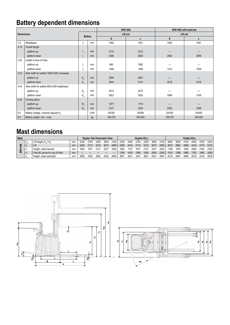# **Battery dependent dimensions**

|                   |                                                  |                 |      |         | <b>SPE140S</b> | <b>SPE140S with backrest</b> |         |  |  |  |
|-------------------|--------------------------------------------------|-----------------|------|---------|----------------|------------------------------|---------|--|--|--|
| <b>Dimensions</b> |                                                  | <b>Battery</b>  |      |         | Lift out       | Lift out                     |         |  |  |  |
|                   |                                                  |                 |      | S       |                | S                            |         |  |  |  |
| 1.9               | Wheelbase                                        | y               | mm   | 1454    | 1551           | 1454                         | 1551    |  |  |  |
| 4.19              | Overall length                                   |                 |      |         |                |                              |         |  |  |  |
|                   | platform up                                      |                 | mm   | 2115    | 2212           |                              |         |  |  |  |
|                   | platform down                                    |                 | mm   | 2548    | 2645           | 2562                         | 2659    |  |  |  |
| 4.20              | Length to face of forks                          |                 |      |         |                |                              |         |  |  |  |
|                   | platform up                                      |                 | mm   | 965     | 1062           |                              |         |  |  |  |
|                   | platform down                                    |                 | mm   | 1398    | 1495           | 1412                         | 1509    |  |  |  |
| 4.33              | Aisle width for pallets 1000x1200 crossways      |                 |      |         |                |                              |         |  |  |  |
|                   | platform up                                      | A <sub>st</sub> | mm   | 2594    | 2691           |                              |         |  |  |  |
|                   | platform down                                    | $A_{st}$        | mm   | 3044    | 3141           | 3219                         | 3316    |  |  |  |
| 4.34              | Aisle width for pallets 800x1200 lengthways      |                 |      |         |                |                              |         |  |  |  |
|                   | platform up                                      | A <sub>st</sub> | mm   | 2473    | 2570           |                              |         |  |  |  |
|                   | platform down                                    | A <sub>st</sub> | mm   | 2923    | 3020           | 3098                         | 3195    |  |  |  |
| 4.35              | Turning radius                                   |                 |      |         |                |                              |         |  |  |  |
|                   | platform up                                      | W <sub>a</sub>  | mm   | 1677    | 1774           |                              |         |  |  |  |
|                   | platform down                                    | $W_a$           | mm   | 2127    | 2224           | 2302                         | 2399    |  |  |  |
| 6.4               | Battery voltage, nominal capacity K <sub>5</sub> |                 | V/Ah | 24/300  | 24/500         | 24/300                       | 24/500  |  |  |  |
| 6.5               | Battery weight, min.-max.                        |                 | kg   | 195-270 | 345-403        | 195-270                      | 345-403 |  |  |  |

## **Mast dimensions**

| Mast              |          |                                   |    | <b>Duplex Tele Panoramic View</b> |      |      |      | <b>Duplex HiLo</b> |                 |      |      |      | Triplex HiLo |      |      |      |      |      |      |       |
|-------------------|----------|-----------------------------------|----|-----------------------------------|------|------|------|--------------------|-----------------|------|------|------|--------------|------|------|------|------|------|------|-------|
| o.<br>c<br>ш<br>ø | $n_{23}$ | Lift height $(h, +h)$             | mm | 2300                              | 2750 | 3250 | 3650 | 4100               | 2300            | 2450 | 2750 | 3250 | 3650         | 4100 | 3650 | 3900 | 4100 | 4450 | 4750 | 5350  |
|                   | n.       | <sup>I</sup> Lift                 | mm | 2260                              | 2710 | 3210 | 3610 | 4060               | 2260            | 2410 | 2710 | 3210 | 3610         | 4060 | 3610 | 3860 | 4060 | 4410 | 4710 | 5310  |
|                   | h.       | Height, mast lowered              | mm | 1652                              | 1877 | 2127 | 2327 | 2552               | 1652            | 1727 | 187  | 212. | 2327         | 2552 | 1796 | 1879 | 1946 | 2062 | 2162 | 2362. |
|                   | 'h.      | Free lift, ground to top of forks | mm |                                   |      |      |      |                    | 35 <sub>4</sub> | 430  | 1580 | 1830 | 2030         | 2254 | 1516 | 1598 | 1666 | 1782 | 1882 | 2082  |
|                   | h        | Height, mast extended             | mm | 2892                              | 3342 | 3842 | 4242 | 4692               | 289             | 304  | 334  | 384  | 4241         | 469  | 4218 | 4467 | 4668 | 5016 | 5316 | 5916  |